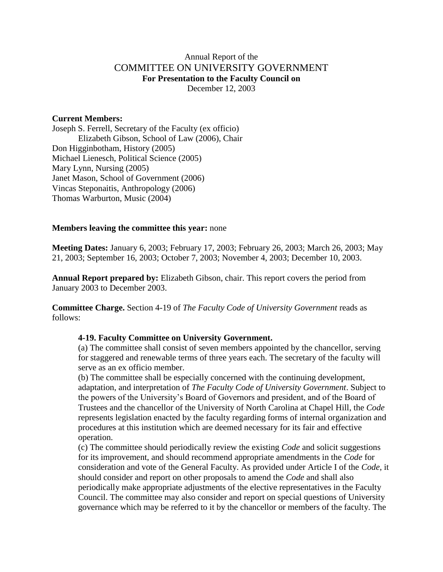## Annual Report of the COMMITTEE ON UNIVERSITY GOVERNMENT **For Presentation to the Faculty Council on** December 12, 2003

#### **Current Members:**

Joseph S. Ferrell, Secretary of the Faculty (ex officio) Elizabeth Gibson, School of Law (2006), Chair Don Higginbotham, History (2005) Michael Lienesch, Political Science (2005) Mary Lynn, Nursing (2005) Janet Mason, School of Government (2006) Vincas Steponaitis, Anthropology (2006) Thomas Warburton, Music (2004)

### **Members leaving the committee this year:** none

**Meeting Dates:** January 6, 2003; February 17, 2003; February 26, 2003; March 26, 2003; May 21, 2003; September 16, 2003; October 7, 2003; November 4, 2003; December 10, 2003.

**Annual Report prepared by:** Elizabeth Gibson, chair. This report covers the period from January 2003 to December 2003.

**Committee Charge.** Section 4-19 of *The Faculty Code of University Government* reads as follows:

### **4-19. Faculty Committee on University Government.**

(a) The committee shall consist of seven members appointed by the chancellor, serving for staggered and renewable terms of three years each. The secretary of the faculty will serve as an ex officio member.

(b) The committee shall be especially concerned with the continuing development, adaptation, and interpretation of *The Faculty Code of University Government*. Subject to the powers of the University's Board of Governors and president, and of the Board of Trustees and the chancellor of the University of North Carolina at Chapel Hill, the *Code* represents legislation enacted by the faculty regarding forms of internal organization and procedures at this institution which are deemed necessary for its fair and effective operation.

(c) The committee should periodically review the existing *Code* and solicit suggestions for its improvement, and should recommend appropriate amendments in the *Code* for consideration and vote of the General Faculty. As provided under Article I of the *Code*, it should consider and report on other proposals to amend the *Code* and shall also periodically make appropriate adjustments of the elective representatives in the Faculty Council. The committee may also consider and report on special questions of University governance which may be referred to it by the chancellor or members of the faculty. The